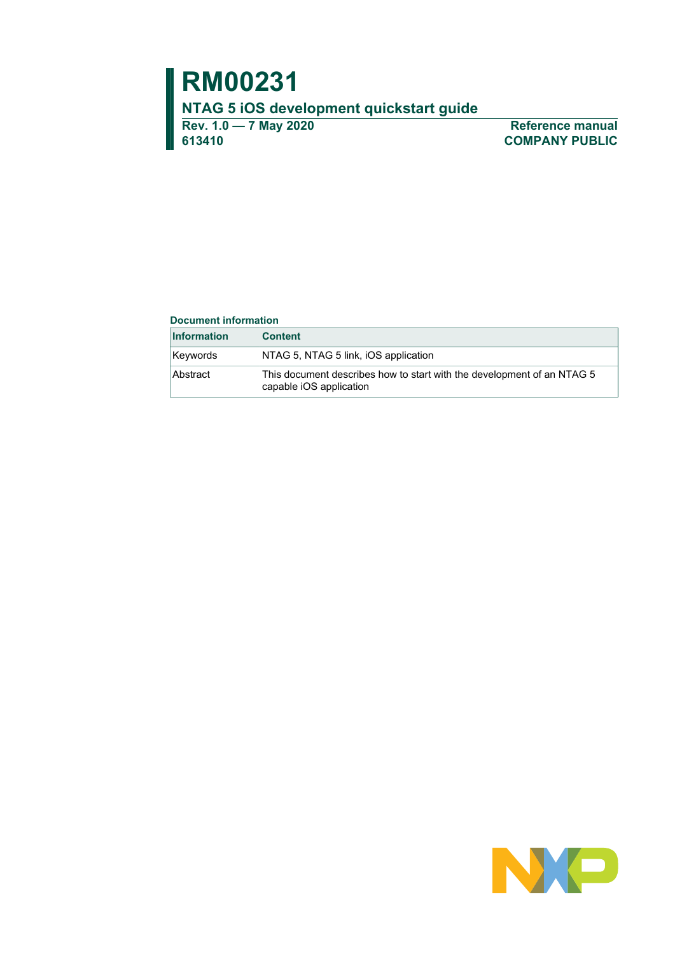**613410 COMPANY PUBLIC**

**Rev. 1.0 — 7 May 2020 Reference manual**

#### **Document information**

| <b>Information</b> | <b>Content</b>                                                                                    |
|--------------------|---------------------------------------------------------------------------------------------------|
| Keywords           | NTAG 5, NTAG 5 link, iOS application                                                              |
| Abstract           | This document describes how to start with the development of an NTAG 5<br>capable iOS application |

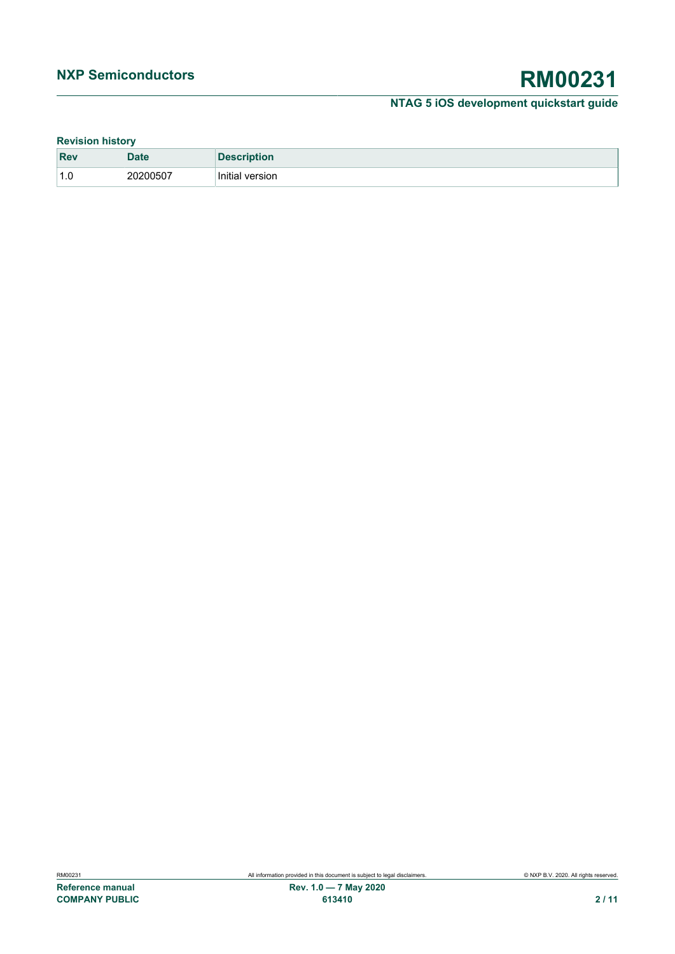### **Revision history**

| <b>Rev</b>                                         | <b>Date</b> | <b>Description</b>      |
|----------------------------------------------------|-------------|-------------------------|
| $\overline{\phantom{a}}$<br>$\overline{A}$<br>ں. ا | 20200507    | .<br>Initial<br>version |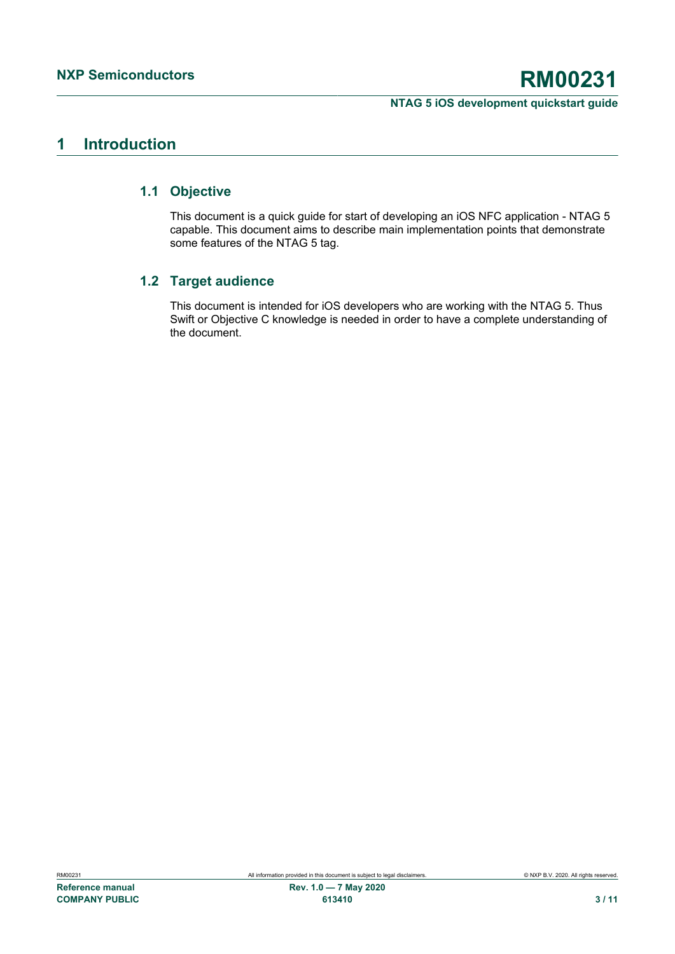# <span id="page-2-0"></span>**1 Introduction**

### **1.1 Objective**

<span id="page-2-1"></span>This document is a quick guide for start of developing an iOS NFC application - NTAG 5 capable. This document aims to describe main implementation points that demonstrate some features of the NTAG 5 tag.

## **1.2 Target audience**

<span id="page-2-2"></span>This document is intended for iOS developers who are working with the NTAG 5. Thus Swift or Objective C knowledge is needed in order to have a complete understanding of the document.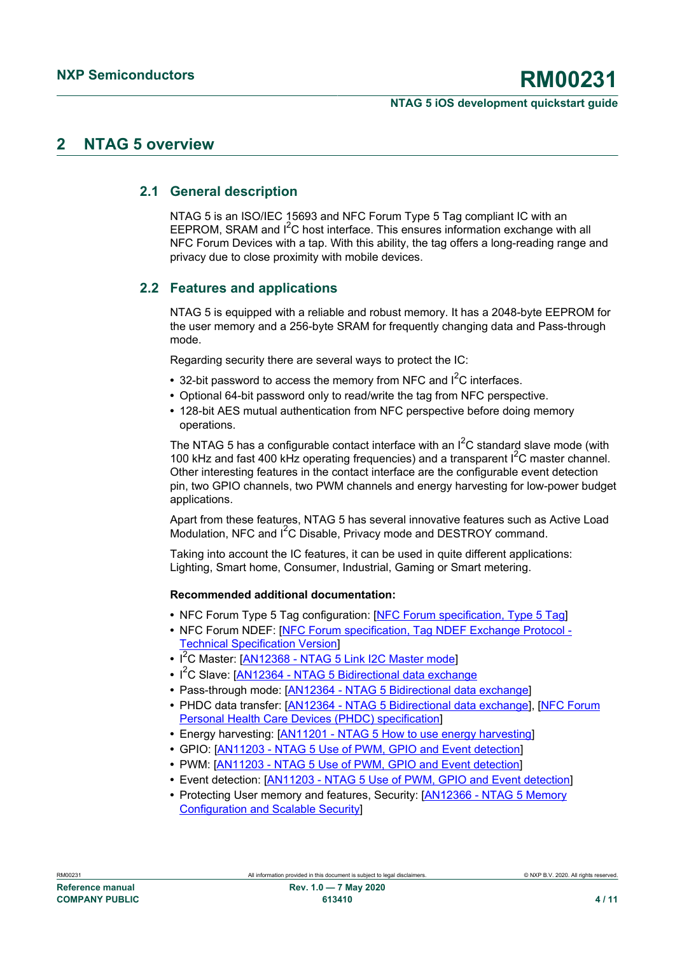# <span id="page-3-0"></span>**2 NTAG 5 overview**

## **2.1 General description**

<span id="page-3-1"></span>NTAG 5 is an ISO/IEC 15693 and NFC Forum Type 5 Tag compliant IC with an EEPROM, SRAM and  $I<sup>2</sup>C$  host interface. This ensures information exchange with all NFC Forum Devices with a tap. With this ability, the tag offers a long-reading range and privacy due to close proximity with mobile devices.

# **2.2 Features and applications**

<span id="page-3-2"></span>NTAG 5 is equipped with a reliable and robust memory. It has a 2048-byte EEPROM for the user memory and a 256-byte SRAM for frequently changing data and Pass-through mode.

Regarding security there are several ways to protect the IC:

- 32-bit password to access the memory from NFC and I<sup>2</sup>C interfaces.
- **•** Optional 64-bit password only to read/write the tag from NFC perspective.
- **•** 128-bit AES mutual authentication from NFC perspective before doing memory operations.

The NTAG 5 has a configurable contact interface with an  $I^2C$  standard slave mode (with 100 kHz and fast 400 kHz operating frequencies) and a transparent  $I^2C$  master channel. Other interesting features in the contact interface are the configurable event detection pin, two GPIO channels, two PWM channels and energy harvesting for low-power budget applications.

Apart from these features, NTAG 5 has several innovative features such as Active Load Modulation, NFC and I<sup>2</sup>C Disable, Privacy mode and DESTROY command.

Taking into account the IC features, it can be used in quite different applications: Lighting, Smart home, Consumer, Industrial, Gaming or Smart metering.

#### **Recommended additional documentation:**

- NFC Forum Type 5 Tag configuration: **[\[NFC Forum specification, Type 5 Tag](#page-7-0)]**
- **•** NFC Forum NDEF: [[NFC Forum specification, Tag NDEF Exchange Protocol -](#page-7-1) [Technical Specification Version](#page-7-1)]
- **•** I <sup>2</sup>C Master: [\[AN12368 NTAG 5 Link I2C Master mode](#page-7-2)]
- **•** I <sup>2</sup>C Slave: [[AN12364 NTAG 5 Bidirectional data exchange](#page-7-3)
- **•** Pass-through mode: [\[AN12364 NTAG 5 Bidirectional data exchange](#page-7-3)]
- **•** PHDC data transfer: [\[AN12364 NTAG 5 Bidirectional data exchange](#page-7-3)], [\[NFC Forum](#page-7-4) [Personal Health Care Devices \(PHDC\) specification\]](#page-7-4)
- **•** Energy harvesting: [\[AN11201 NTAG 5 How to use energy harvesting\]](#page-7-5)
- **•** GPIO: [[AN11203 NTAG 5 Use of PWM, GPIO and Event detection\]](#page-7-6)
- **•** PWM: [\[AN11203 NTAG 5 Use of PWM, GPIO and Event detection](#page-7-6)]
- **•** Event detection: [[AN11203 NTAG 5 Use of PWM, GPIO and Event detection\]](#page-7-6)
- **•** Protecting User memory and features, Security: [[AN12366 NTAG 5 Memory](#page-7-7) [Configuration and Scalable Security](#page-7-7)]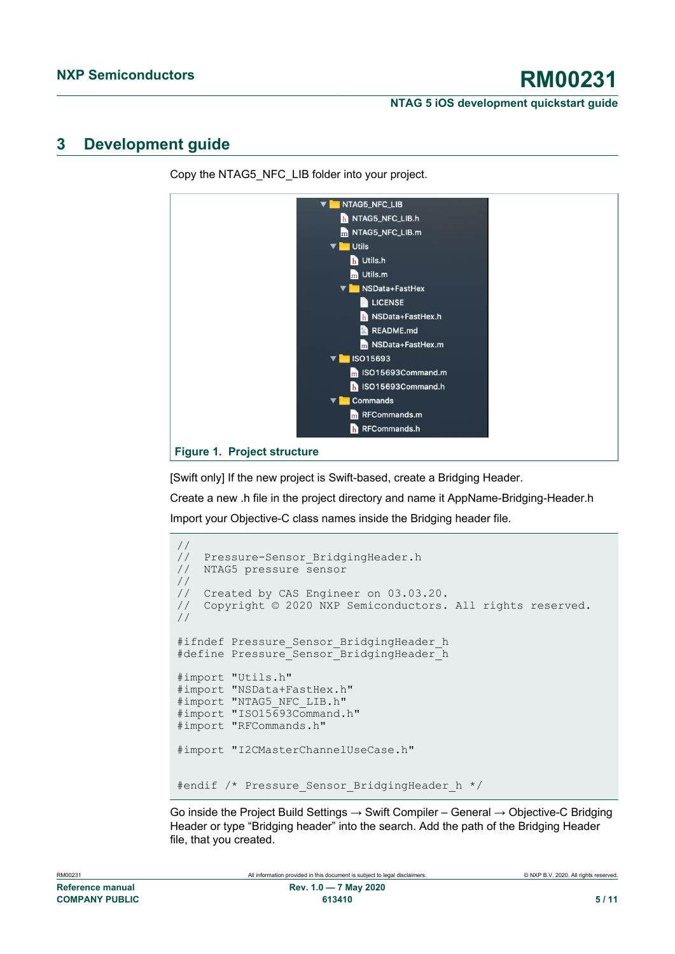# <span id="page-4-1"></span>**3 Development guide**

<span id="page-4-0"></span>

Copy the NTAG5\_NFC\_LIB folder into your project.

[Swift only] If the new project is Swift-based, create a Bridging Header.

Create a new .h file in the project directory and name it AppName-Bridging-Header.h Import your Objective-C class names inside the Bridging header file.

```
//
// Pressure-Sensor_BridgingHeader.h
// NTAG5 pressure sensor
//
// Created by CAS Engineer on 03.03.20.
// Copyright © 2020 NXP Semiconductors. All rights reserved.
//
#ifndef Pressure Sensor BridgingHeader h
#define Pressure_Sensor_BridgingHeader_h
#import "Utils.h"
#import "NSData+FastHex.h"
#import "NTAG5 NFC LIB.h"
#import "ISO15693Command.h"
#import "RFCommands.h"
#import "I2CMasterChannelUseCase.h"
#endif /* Pressure_Sensor_BridgingHeader_h */
```
Go inside the Project Build Settings  $\rightarrow$  Swift Compiler – General  $\rightarrow$  Objective-C Bridging Header or type "Bridging header" into the search. Add the path of the Bridging Header file, that you created.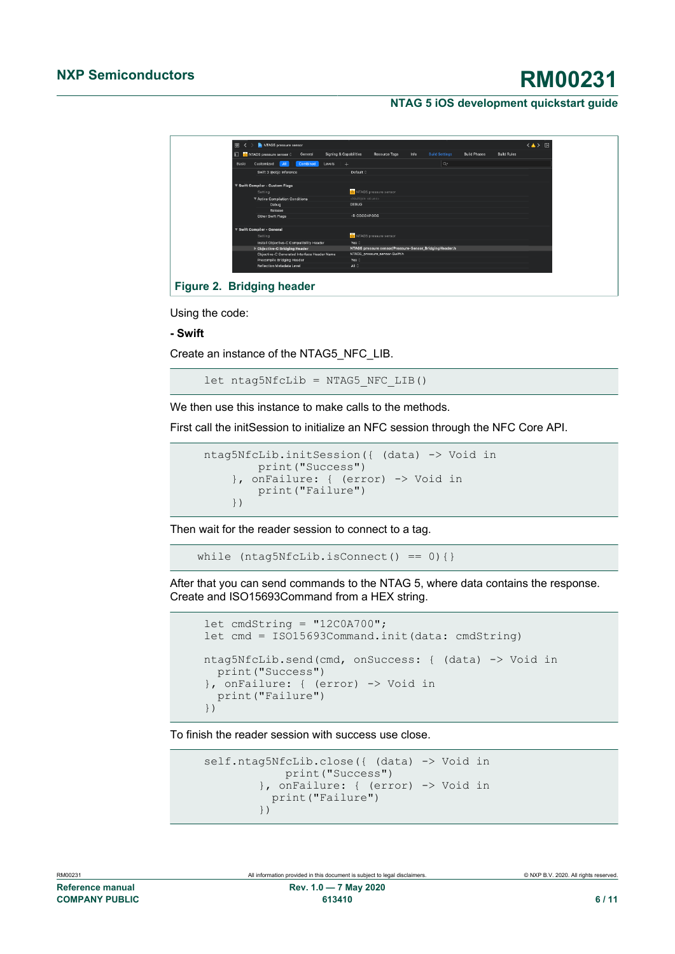<span id="page-5-0"></span>

Using the code:

**- Swift**

Create an instance of the NTAG5\_NFC\_LIB.

let  $ntaq5Nfclib = NTAG5NFC LIB()$ 

We then use this instance to make calls to the methods.

First call the initSession to initialize an NFC session through the NFC Core API.

```
 ntag5NfcLib.initSession({ (data) -> Void in
        print("Success")
     }, onFailure: { (error) -> Void in
         print("Failure")
     })
```
Then wait for the reader session to connect to a tag.

while  $(ntag5Nfclib.isConnect() == 0)$ 

After that you can send commands to the NTAG 5, where data contains the response. Create and ISO15693Command from a HEX string.

```
let cmdString = "12COA700"; let cmd = ISO15693Command.init(data: cmdString)
 ntag5NfcLib.send(cmd, onSuccess: { (data) -> Void in
  print("Success")
 }, onFailure: { (error) -> Void in
  print("Failure")
 })
```
To finish the reader session with success use close.

```
self.ntag5NfcLib.close({ (data) -> Void in
               print("Success")
            }, onFailure: { (error) -> Void in
           print("Failure")<br>})
 })
```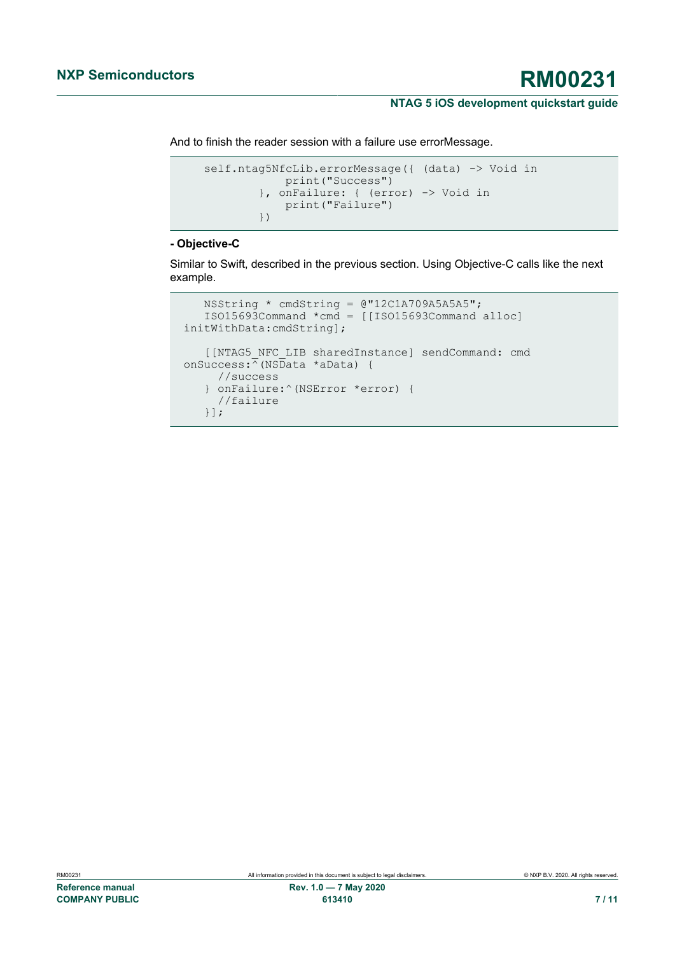And to finish the reader session with a failure use errorMessage.

```
self.ntag5NfcLib.errorMessage({ (data) -> Void in
             print("Success")
         }, onFailure: { (error) -> Void in
             print("Failure")
         })
```
### **- Objective-C**

Similar to Swift, described in the previous section. Using Objective-C calls like the next example.

```
 NSString * cmdString = @"12C1A709A5A5A5";
    ISO15693Command *cmd = [[ISO15693Command alloc]
 initWithData:cmdString];
    [[NTAG5_NFC_LIB sharedInstance] sendCommand: cmd
onSuccess:\sqrt{\overline{N}}(NSData *aData) {
      //success
    } onFailure:^(NSError *error) {
      //failure
    }];
```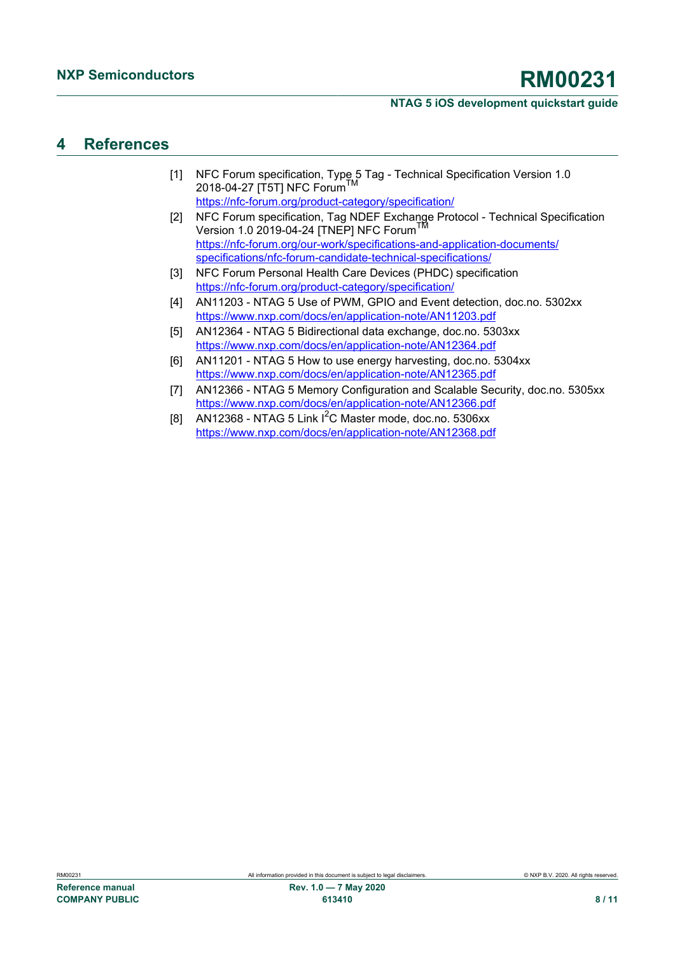# <span id="page-7-8"></span>**4 References**

- <span id="page-7-0"></span>[1] NFC Forum specification, Type 5 Tag - Technical Specification Version 1.0 2018-04-27 [T5T] NFC Forum <https://nfc-forum.org/product-category/specification/>
- <span id="page-7-1"></span>[2] NFC Forum specification, Tag NDEF Exchange Protocol - Technical Specification Version 1.0 2019-04-24 [TNEP] NFC Forum<sup>T</sup> [https://nfc-forum.org/our-work/specifications-and-application-documents/](https://nfc-forum.org/our-work/specifications-and-application-documents/specifications/nfc-forum-candidate-technical-specifications/) [specifications/nfc-forum-candidate-technical-specifications/](https://nfc-forum.org/our-work/specifications-and-application-documents/specifications/nfc-forum-candidate-technical-specifications/)
- <span id="page-7-4"></span>[3] NFC Forum Personal Health Care Devices (PHDC) specification <https://nfc-forum.org/product-category/specification/>
- <span id="page-7-6"></span>[4] AN11203 - NTAG 5 Use of PWM, GPIO and Event detection, doc.no. 5302xx <https://www.nxp.com/docs/en/application-note/AN11203.pdf>
- <span id="page-7-3"></span>[5] AN12364 - NTAG 5 Bidirectional data exchange, doc.no. 5303xx <https://www.nxp.com/docs/en/application-note/AN12364.pdf>
- <span id="page-7-5"></span>[6] AN11201 - NTAG 5 How to use energy harvesting, doc.no. 5304xx <https://www.nxp.com/docs/en/application-note/AN12365.pdf>
- <span id="page-7-7"></span>[7] AN12366 - NTAG 5 Memory Configuration and Scalable Security, doc.no. 5305xx <https://www.nxp.com/docs/en/application-note/AN12366.pdf>
- <span id="page-7-2"></span>[8] AN12368 - NTAG 5 Link  $I^2C$  Master mode, doc.no. 5306xx <https://www.nxp.com/docs/en/application-note/AN12368.pdf>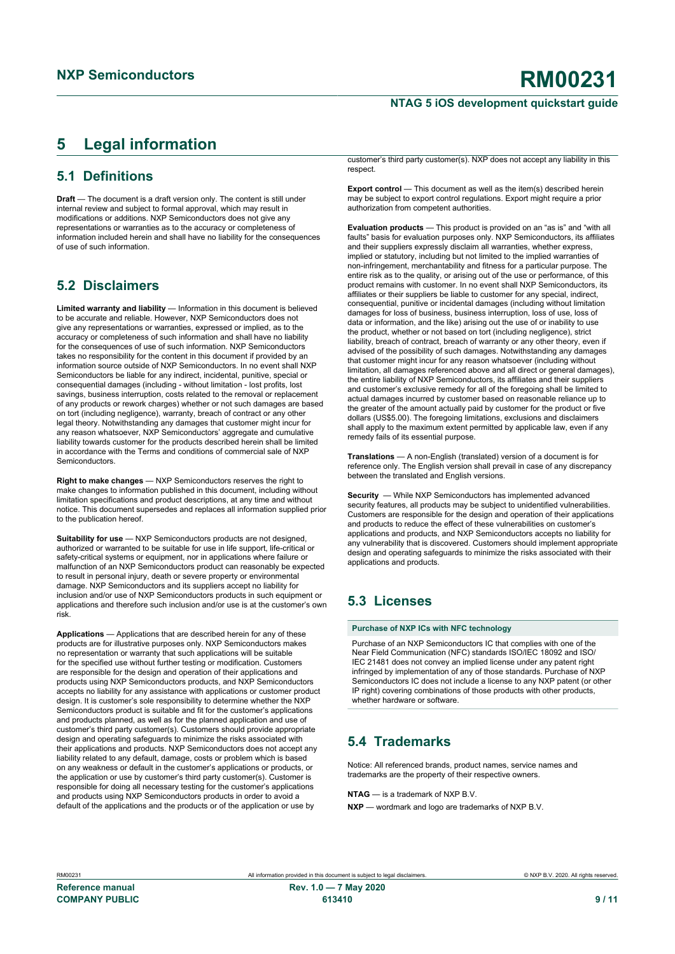# <span id="page-8-0"></span>**5 Legal information**

# **5.1 Definitions**

**Draft** — The document is a draft version only. The content is still under internal review and subject to formal approval, which may result in modifications or additions. NXP Semiconductors does not give any representations or warranties as to the accuracy or completeness of information included herein and shall have no liability for the consequences of use of such information.

## **5.2 Disclaimers**

**Limited warranty and liability** — Information in this document is believed to be accurate and reliable. However, NXP Semiconductors does not give any representations or warranties, expressed or implied, as to the accuracy or completeness of such information and shall have no liability for the consequences of use of such information. NXP Semiconductors takes no responsibility for the content in this document if provided by an information source outside of NXP Semiconductors. In no event shall NXP Semiconductors be liable for any indirect, incidental, punitive, special or consequential damages (including - without limitation - lost profits, lost savings, business interruption, costs related to the removal or replacement of any products or rework charges) whether or not such damages are based on tort (including negligence), warranty, breach of contract or any other legal theory. Notwithstanding any damages that customer might incur for any reason whatsoever, NXP Semiconductors' aggregate and cumulative liability towards customer for the products described herein shall be limited in accordance with the Terms and conditions of commercial sale of NXP **Semiconductors** 

**Right to make changes** — NXP Semiconductors reserves the right to make changes to information published in this document, including without limitation specifications and product descriptions, at any time and without notice. This document supersedes and replaces all information supplied prior to the publication hereof.

**Suitability for use** — NXP Semiconductors products are not designed, authorized or warranted to be suitable for use in life support, life-critical or safety-critical systems or equipment, nor in applications where failure or malfunction of an NXP Semiconductors product can reasonably be expected to result in personal injury, death or severe property or environmental damage. NXP Semiconductors and its suppliers accept no liability for inclusion and/or use of NXP Semiconductors products in such equipment or applications and therefore such inclusion and/or use is at the customer's own risk.

**Applications** — Applications that are described herein for any of these products are for illustrative purposes only. NXP Semiconductors makes no representation or warranty that such applications will be suitable for the specified use without further testing or modification. Customers are responsible for the design and operation of their applications and products using NXP Semiconductors products, and NXP Semiconductors accepts no liability for any assistance with applications or customer product design. It is customer's sole responsibility to determine whether the NXP Semiconductors product is suitable and fit for the customer's applications and products planned, as well as for the planned application and use of customer's third party customer(s). Customers should provide appropriate design and operating safeguards to minimize the risks associated with their applications and products. NXP Semiconductors does not accept any liability related to any default, damage, costs or problem which is based on any weakness or default in the customer's applications or products, or the application or use by customer's third party customer(s). Customer is responsible for doing all necessary testing for the customer's applications and products using NXP Semiconductors products in order to avoid a default of the applications and the products or of the application or use by

customer's third party customer(s). NXP does not accept any liability in this respect.

**Export control** — This document as well as the item(s) described herein may be subject to export control regulations. Export might require a prior authorization from competent authorities.

**Evaluation products** — This product is provided on an "as is" and "with all faults" basis for evaluation purposes only. NXP Semiconductors, its affiliates and their suppliers expressly disclaim all warranties, whether express, implied or statutory, including but not limited to the implied warranties of non-infringement, merchantability and fitness for a particular purpose. The entire risk as to the quality, or arising out of the use or performance, of this product remains with customer. In no event shall NXP Semiconductors, its affiliates or their suppliers be liable to customer for any special, indirect, consequential, punitive or incidental damages (including without limitation damages for loss of business, business interruption, loss of use, loss of data or information, and the like) arising out the use of or inability to use the product, whether or not based on tort (including negligence), strict liability, breach of contract, breach of warranty or any other theory, even if advised of the possibility of such damages. Notwithstanding any damages that customer might incur for any reason whatsoever (including without limitation, all damages referenced above and all direct or general damages), the entire liability of NXP Semiconductors, its affiliates and their suppliers and customer's exclusive remedy for all of the foregoing shall be limited to actual damages incurred by customer based on reasonable reliance up to the greater of the amount actually paid by customer for the product or five dollars (US\$5.00). The foregoing limitations, exclusions and disclaimers shall apply to the maximum extent permitted by applicable law, even if any remedy fails of its essential purpose.

**Translations** — A non-English (translated) version of a document is for reference only. The English version shall prevail in case of any discrepancy between the translated and English versions.

**Security** — While NXP Semiconductors has implemented advanced security features, all products may be subject to unidentified vulnerabilities. Customers are responsible for the design and operation of their applications and products to reduce the effect of these vulnerabilities on customer's applications and products, and NXP Semiconductors accepts no liability for any vulnerability that is discovered. Customers should implement appropriate design and operating safeguards to minimize the risks associated with their applications and products.

# **5.3 Licenses**

#### **Purchase of NXP ICs with NFC technology**

Purchase of an NXP Semiconductors IC that complies with one of the Near Field Communication (NFC) standards ISO/IEC 18092 and ISO/ IEC 21481 does not convey an implied license under any patent right infringed by implementation of any of those standards. Purchase of NXP Semiconductors IC does not include a license to any NXP patent (or other IP right) covering combinations of those products with other products, whether hardware or software.

## **5.4 Trademarks**

Notice: All referenced brands, product names, service names and trademarks are the property of their respective owners.

#### **NTAG** — is a trademark of NXP B.V.

**NXP** — wordmark and logo are trademarks of NXP B.V.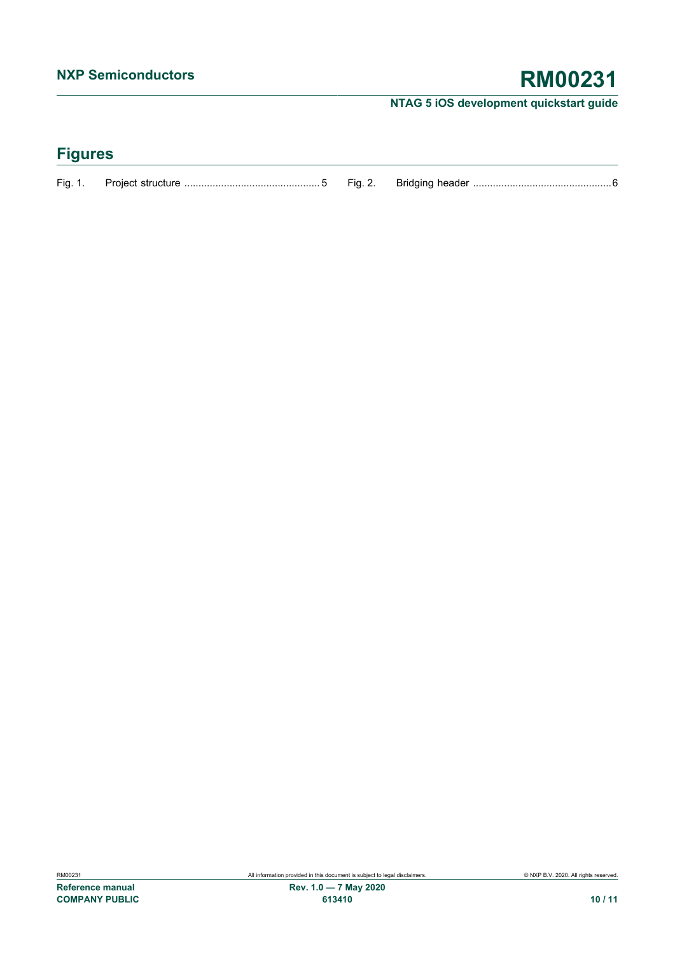# **Figures**

| Fig. | - Project s<br>-siruciure | -ומ | header<br>sriaaina |  |
|------|---------------------------|-----|--------------------|--|
|      |                           |     |                    |  |